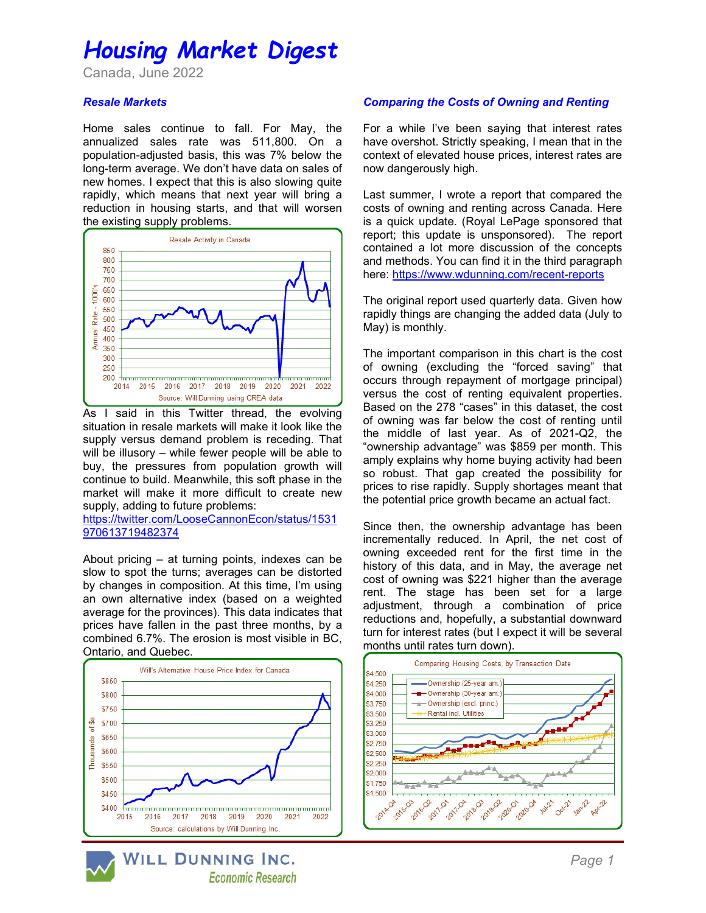## Housing Market Digest

Canada, June 2022

#### Resale Markets

Home sales continue to fall. For May, the annualized sales rate was 511,800. On a population-adjusted basis, this was 7% below the long-term average. We don't have data on sales of new homes. I expect that this is also slowing quite rapidly, which means that next year will bring a reduction in housing starts, and that will worsen the existing supply problems.



As I said in this Twitter thread, the evolving situation in resale markets will make it look like the supply versus demand problem is receding. That will be illusory – while fewer people will be able to buy, the pressures from population growth will continue to build. Meanwhile, this soft phase in the market will make it more difficult to create new supply, adding to future problems:

https://twitter.com/LooseCannonEcon/status/1531 970613719482374

About pricing – at turning points, indexes can be slow to spot the turns; averages can be distorted by changes in composition. At this time, I'm using an own alternative index (based on a weighted average for the provinces). This data indicates that prices have fallen in the past three months, by a combined 6.7%. The erosion is most visible in BC, Ontario, and Quebec.



#### Comparing the Costs of Owning and Renting

For a while I've been saying that interest rates have overshot. Strictly speaking, I mean that in the context of elevated house prices, interest rates are now dangerously high.

Last summer, I wrote a report that compared the costs of owning and renting across Canada. Here is a quick update. (Royal LePage sponsored that report; this update is unsponsored). The report contained a lot more discussion of the concepts and methods. You can find it in the third paragraph here: https://www.wdunning.com/recent-reports

The original report used quarterly data. Given how rapidly things are changing the added data (July to May) is monthly.

The important comparison in this chart is the cost of owning (excluding the "forced saving" that occurs through repayment of mortgage principal) versus the cost of renting equivalent properties. Based on the 278 "cases" in this dataset, the cost of owning was far below the cost of renting until the middle of last year. As of 2021-Q2, the "ownership advantage" was \$859 per month. This amply explains why home buying activity had been so robust. That gap created the possibility for prices to rise rapidly. Supply shortages meant that the potential price growth became an actual fact.

Since then, the ownership advantage has been incrementally reduced. In April, the net cost of owning exceeded rent for the first time in the history of this data, and in May, the average net cost of owning was \$221 higher than the average rent. The stage has been set for a large adjustment, through a combination of price reductions and, hopefully, a substantial downward turn for interest rates (but I expect it will be several months until rates turn down).